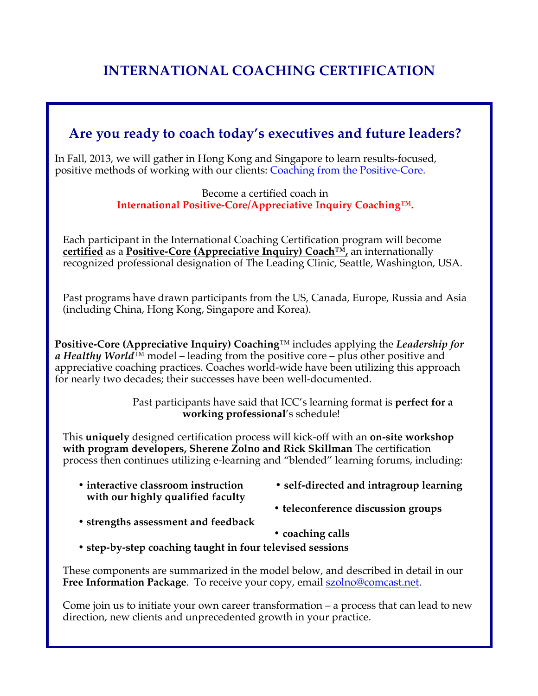# **INTERNATIONAL COACHING CERTIFICATION**

## **Are you ready to coach today's executives and future leaders?**

In Fall, 2013, we will gather in Hong Kong and Singapore to learn results-focused, positive methods of working with our clients: Coaching from the Positive-Core.

> Become a certified coach in **International Positive-Core/Appreciative Inquiry Coaching™.**

Each participant in the International Coaching Certification program will become **certified** as a **Positive-Core (Appreciative Inquiry) Coach™,** an internationally recognized professional designation of The Leading Clinic, Seattle, Washington, USA.

Past programs have drawn participants from the US, Canada, Europe, Russia and Asia (including China, Hong Kong, Singapore and Korea).

**Positive-Core (Appreciative Inquiry) Coaching**™ includes applying the *Leadership for a Healthy World™* model – leading from the positive core – plus other positive and appreciative coaching practices. Coaches world-wide have been utilizing this approach for nearly two decades; their successes have been well-documented.

> Past participants have said that ICC's learning format is **perfect for a working professional**'s schedule!

This **uniquely** designed certification process will kick-off with an **on-site workshop with program developers, Sherene Zolno and Rick Skillman** The certification process then continues utilizing e-learning and "blended" learning forums, including:

| • interactive classroom instruction<br>with our highly qualified faculty | • self-directed and intragroup learning |
|--------------------------------------------------------------------------|-----------------------------------------|
|                                                                          | • teleconference discussion groups      |

- **strengths assessment and feedback**
- **coaching calls**
- **step-by-step coaching taught in four televised sessions**

These components are summarized in the model below, and described in detail in our **Free Information Package**. To receive your copy, email szolno@comcast.net.

Come join us to initiate your own career transformation – a process that can lead to new direction, new clients and unprecedented growth in your practice.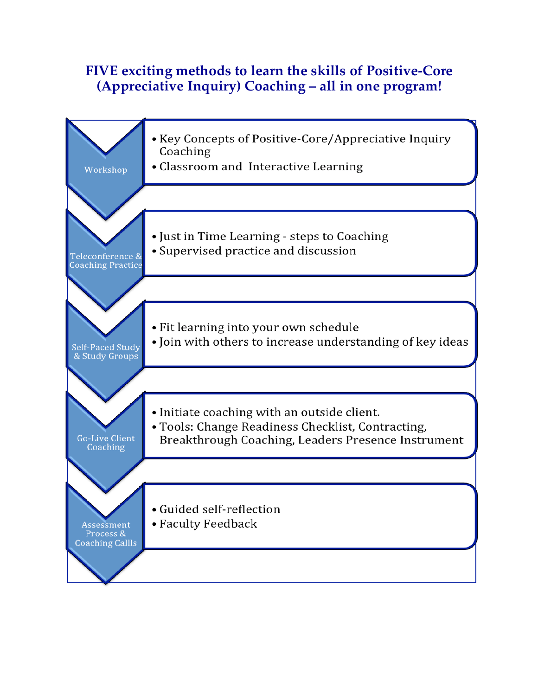#### **FIVE exciting methods to learn the skills of Positive-Core (Appreciative Inquiry) Coaching – all in one program!**

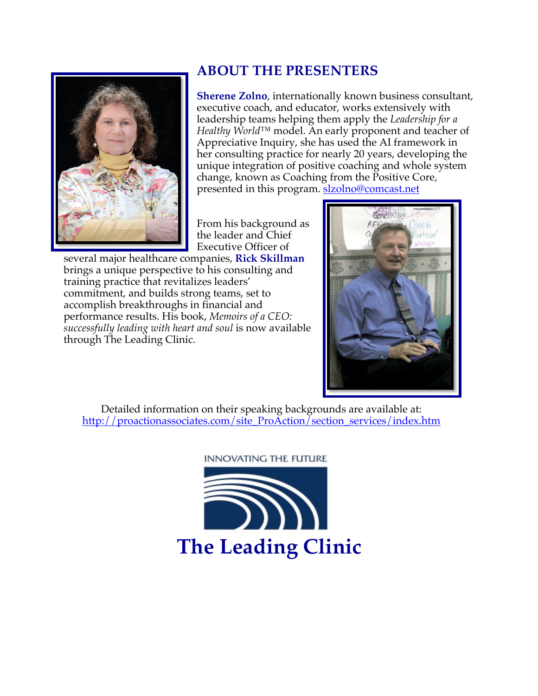

## **ABOUT THE PRESENTERS**

**Sherene Zolno**, internationally known business consultant, executive coach, and educator, works extensively with leadership teams helping them apply the *Leadership for a Healthy World™* model. An early proponent and teacher of Appreciative Inquiry, she has used the AI framework in her consulting practice for nearly 20 years, developing the unique integration of positive coaching and whole system change, known as Coaching from the Positive Core, presented in this program. slzolno@comcast.net

From his background as the leader and Chief Executive Officer of

several major healthcare companies, **Rick Skillman** brings a unique perspective to his consulting and training practice that revitalizes leaders' commitment, and builds strong teams, set to accomplish breakthroughs in financial and performance results. His book, *Memoirs of a CEO: successfully leading with heart and soul* is now available through The Leading Clinic.



Detailed information on their speaking backgrounds are available at: http://proactionassociates.com/site\_ProAction/section\_services/index.htm

**INNOVATING THE FUTURE**